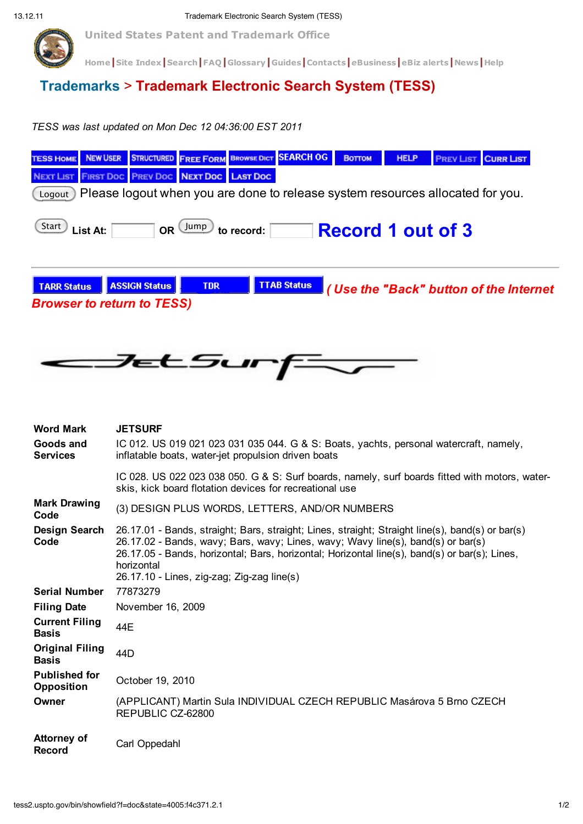

**United States Patent and Trademark Office**

**Home|Site Index|Search|FAQ|Glossary|Guides|Contacts|***e***Business|eBiz alerts|News|Help**

## **Trademarks** > **Trademark Electronic Search System (TESS)**

*TESS was last updated on Mon Dec 12 04:36:00 EST 2011*

| <b>NEW USER</b><br><b><i>TESS HOME</i></b>                                                                                                                    | <b>STRUCTURED FREE FORM BROWSE DICT SEARCH OG</b><br><b>HELP</b><br><b>Воттом</b><br><b>CURR LIST</b><br><b>PREV LIST</b>                                                                                                                                                                           |  |  |  |  |  |  |  |  |  |
|---------------------------------------------------------------------------------------------------------------------------------------------------------------|-----------------------------------------------------------------------------------------------------------------------------------------------------------------------------------------------------------------------------------------------------------------------------------------------------|--|--|--|--|--|--|--|--|--|
| <b>JEXT LIST</b>                                                                                                                                              | FIRST DOC PREV DOC NEXT DOC LAST DOC                                                                                                                                                                                                                                                                |  |  |  |  |  |  |  |  |  |
| Please logout when you are done to release system resources allocated for you.<br>Logout                                                                      |                                                                                                                                                                                                                                                                                                     |  |  |  |  |  |  |  |  |  |
| Start<br>OR Jump<br><b>Record 1 out of 3</b><br>List At:<br>to record:                                                                                        |                                                                                                                                                                                                                                                                                                     |  |  |  |  |  |  |  |  |  |
| <b>TTAB Status</b><br><b>ASSIGN Status</b><br><b>TDR</b><br><b>TARR Status</b><br>(Use the "Back" button of the Internet<br><b>Browser to return to TESS)</b> |                                                                                                                                                                                                                                                                                                     |  |  |  |  |  |  |  |  |  |
|                                                                                                                                                               | <del>Jet Su</del> r                                                                                                                                                                                                                                                                                 |  |  |  |  |  |  |  |  |  |
| <b>Word Mark</b>                                                                                                                                              | <b>JETSURF</b>                                                                                                                                                                                                                                                                                      |  |  |  |  |  |  |  |  |  |
| <b>Goods and</b><br><b>Services</b>                                                                                                                           | IC 012. US 019 021 023 031 035 044. G & S: Boats, yachts, personal watercraft, namely,<br>inflatable boats, water-jet propulsion driven boats                                                                                                                                                       |  |  |  |  |  |  |  |  |  |
|                                                                                                                                                               | IC 028. US 022 023 038 050. G & S: Surf boards, namely, surf boards fitted with motors, water-<br>skis, kick board flotation devices for recreational use                                                                                                                                           |  |  |  |  |  |  |  |  |  |
| <b>Mark Drawing</b><br>Code                                                                                                                                   | (3) DESIGN PLUS WORDS, LETTERS, AND/OR NUMBERS                                                                                                                                                                                                                                                      |  |  |  |  |  |  |  |  |  |
| Design Search<br>Code                                                                                                                                         | 26.17.01 - Bands, straight; Bars, straight; Lines, straight; Straight line(s), band(s) or bar(s)<br>26.17.02 - Bands, wavy; Bars, wavy; Lines, wavy; Wavy line(s), band(s) or bar(s)<br>26.17.05 - Bands, horizontal; Bars, horizontal; Horizontal line(s), band(s) or bar(s); Lines,<br>horizontal |  |  |  |  |  |  |  |  |  |
| <b>Serial Number</b>                                                                                                                                          | 26.17.10 - Lines, zig-zag; Zig-zag line(s)<br>77873279                                                                                                                                                                                                                                              |  |  |  |  |  |  |  |  |  |
| <b>Filing Date</b>                                                                                                                                            | November 16, 2009                                                                                                                                                                                                                                                                                   |  |  |  |  |  |  |  |  |  |
| <b>Current Filing</b><br><b>Basis</b>                                                                                                                         | 44E                                                                                                                                                                                                                                                                                                 |  |  |  |  |  |  |  |  |  |
| <b>Original Filing</b><br><b>Basis</b>                                                                                                                        | 44D                                                                                                                                                                                                                                                                                                 |  |  |  |  |  |  |  |  |  |
| <b>Published for</b><br><b>Opposition</b>                                                                                                                     | October 19, 2010                                                                                                                                                                                                                                                                                    |  |  |  |  |  |  |  |  |  |
| Owner                                                                                                                                                         | (APPLICANT) Martin Sula INDIVIDUAL CZECH REPUBLIC Masárova 5 Brno CZECH<br>REPUBLIC CZ-62800                                                                                                                                                                                                        |  |  |  |  |  |  |  |  |  |
| <b>Attorney of</b><br><b>Record</b>                                                                                                                           | Carl Oppedahl                                                                                                                                                                                                                                                                                       |  |  |  |  |  |  |  |  |  |